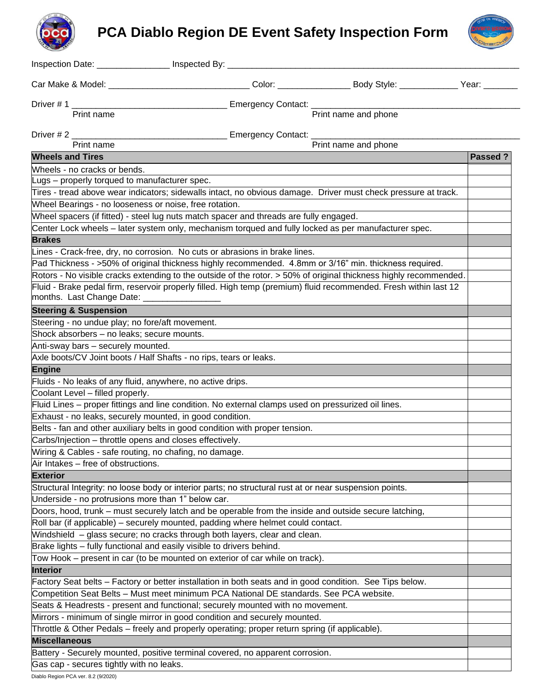# **PCA Diablo Region DE Event Safety Inspection Form**



| Inspection Date: ________________ Inspected By: __________                                                                                                                            |                                 |                      |                |
|---------------------------------------------------------------------------------------------------------------------------------------------------------------------------------------|---------------------------------|----------------------|----------------|
|                                                                                                                                                                                       |                                 |                      |                |
| Driver # 1 _________                                                                                                                                                                  | <b>Emergency Contact:</b> _____ |                      |                |
| Print name                                                                                                                                                                            |                                 | Print name and phone |                |
|                                                                                                                                                                                       |                                 |                      |                |
| Driver # 2 ___________<br>Print name                                                                                                                                                  | Emergency Contact: ________     | Print name and phone |                |
| <b>Wheels and Tires</b>                                                                                                                                                               |                                 |                      | <b>Passed?</b> |
| Wheels - no cracks or bends.                                                                                                                                                          |                                 |                      |                |
| Lugs – properly torqued to manufacturer spec.                                                                                                                                         |                                 |                      |                |
| Tires - tread above wear indicators; sidewalls intact, no obvious damage. Driver must check pressure at track.                                                                        |                                 |                      |                |
| Wheel Bearings - no looseness or noise, free rotation.                                                                                                                                |                                 |                      |                |
| Wheel spacers (if fitted) - steel lug nuts match spacer and threads are fully engaged.                                                                                                |                                 |                      |                |
| Center Lock wheels - later system only, mechanism torqued and fully locked as per manufacturer spec.                                                                                  |                                 |                      |                |
| <b>Brakes</b>                                                                                                                                                                         |                                 |                      |                |
|                                                                                                                                                                                       |                                 |                      |                |
| Lines - Crack-free, dry, no corrosion. No cuts or abrasions in brake lines.<br>Pad Thickness - >50% of original thickness highly recommended. 4.8mm or 3/16" min. thickness required. |                                 |                      |                |
| Rotors - No visible cracks extending to the outside of the rotor. > 50% of original thickness highly recommended.                                                                     |                                 |                      |                |
|                                                                                                                                                                                       |                                 |                      |                |
| Fluid - Brake pedal firm, reservoir properly filled. High temp (premium) fluid recommended. Fresh within last 12<br>months. Last Change Date: ___________________                     |                                 |                      |                |
| <b>Steering &amp; Suspension</b>                                                                                                                                                      |                                 |                      |                |
| Steering - no undue play; no fore/aft movement.                                                                                                                                       |                                 |                      |                |
| Shock absorbers - no leaks; secure mounts.                                                                                                                                            |                                 |                      |                |
| Anti-sway bars - securely mounted.                                                                                                                                                    |                                 |                      |                |
| Axle boots/CV Joint boots / Half Shafts - no rips, tears or leaks.                                                                                                                    |                                 |                      |                |
| <b>Engine</b>                                                                                                                                                                         |                                 |                      |                |
| Fluids - No leaks of any fluid, anywhere, no active drips.                                                                                                                            |                                 |                      |                |
| Coolant Level - filled properly.                                                                                                                                                      |                                 |                      |                |
| Fluid Lines – proper fittings and line condition. No external clamps used on pressurized oil lines.                                                                                   |                                 |                      |                |
| Exhaust - no leaks, securely mounted, in good condition.                                                                                                                              |                                 |                      |                |
| Belts - fan and other auxiliary belts in good condition with proper tension.                                                                                                          |                                 |                      |                |
| Carbs/Injection - throttle opens and closes effectively.                                                                                                                              |                                 |                      |                |
| Wiring & Cables - safe routing, no chafing, no damage.                                                                                                                                |                                 |                      |                |
| Air Intakes - free of obstructions.                                                                                                                                                   |                                 |                      |                |
| <b>Exterior</b>                                                                                                                                                                       |                                 |                      |                |
| Structural Integrity: no loose body or interior parts; no structural rust at or near suspension points.                                                                               |                                 |                      |                |
| Underside - no protrusions more than 1" below car.                                                                                                                                    |                                 |                      |                |
| Doors, hood, trunk - must securely latch and be operable from the inside and outside secure latching,                                                                                 |                                 |                      |                |
| Roll bar (if applicable) – securely mounted, padding where helmet could contact.                                                                                                      |                                 |                      |                |
| Windshield – glass secure; no cracks through both layers, clear and clean.                                                                                                            |                                 |                      |                |
| Brake lights - fully functional and easily visible to drivers behind.                                                                                                                 |                                 |                      |                |
| Tow Hook – present in car (to be mounted on exterior of car while on track).                                                                                                          |                                 |                      |                |
| <b>Interior</b>                                                                                                                                                                       |                                 |                      |                |
| Factory Seat belts - Factory or better installation in both seats and in good condition. See Tips below.                                                                              |                                 |                      |                |
| Competition Seat Belts - Must meet minimum PCA National DE standards. See PCA website.                                                                                                |                                 |                      |                |
| Seats & Headrests - present and functional; securely mounted with no movement.                                                                                                        |                                 |                      |                |
| Mirrors - minimum of single mirror in good condition and securely mounted.                                                                                                            |                                 |                      |                |
| Throttle & Other Pedals – freely and properly operating; proper return spring (if applicable).                                                                                        |                                 |                      |                |
| <b>Miscellaneous</b>                                                                                                                                                                  |                                 |                      |                |
| Battery - Securely mounted, positive terminal covered, no apparent corrosion.                                                                                                         |                                 |                      |                |
| Gas cap - secures tightly with no leaks.                                                                                                                                              |                                 |                      |                |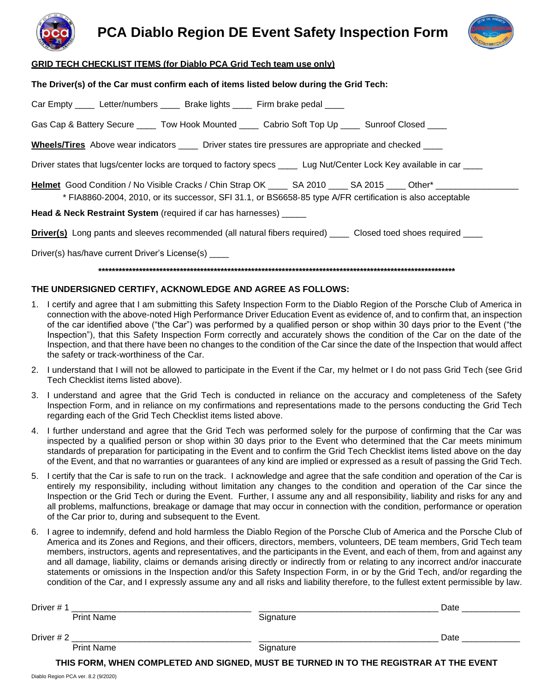



#### **ECH CHECKLIST ITEMS (for Diablo PCA Grid Tech team use only)**

The Driver(s) of the Car must confirm each of items listed below during the Grid Tech:

| Car Empty _____ Letter/numbers _____ Brake lights _____ Firm brake pedal ____                                                                                                                                                   |  |  |  |  |
|---------------------------------------------------------------------------------------------------------------------------------------------------------------------------------------------------------------------------------|--|--|--|--|
| Gas Cap & Battery Secure _____ Tow Hook Mounted _____ Cabrio Soft Top Up ____ Sunroof Closed ____                                                                                                                               |  |  |  |  |
| <b>Wheels/Tires</b> Above wear indicators _____ Driver states tire pressures are appropriate and checked ____                                                                                                                   |  |  |  |  |
| Driver states that lugs/center locks are torqued to factory specs ____ Lug Nut/Center Lock Key available in car ____                                                                                                            |  |  |  |  |
| <b>Helmet</b> Good Condition / No Visible Cracks / Chin Strap OK _____ SA 2010 _____ SA 2015 ____ Other* _________<br>* FIA8860-2004, 2010, or its successor, SFI 31.1, or BS6658-85 type A/FR certification is also acceptable |  |  |  |  |
| Head & Neck Restraint System (required if car has harnesses) ______                                                                                                                                                             |  |  |  |  |
| Driver(s) Long pants and sleeves recommended (all natural fibers required) _____ Closed toed shoes required ____                                                                                                                |  |  |  |  |
| Driver(s) has/have current Driver's License(s) _____                                                                                                                                                                            |  |  |  |  |

#### THE UNDERSIGNED CERTIFY, ACKNOWLEDGE AND AGREE AS FOLLOWS:

- 1. I certify and agree that I am submitting this Safety Inspection Form to the Diablo Region of the Porsche Club of America in connection with the above-noted High Performance Driver Education Event as evidence of, and to confirm that, an inspection of the car identified above ("the Car") was performed by a qualified person or shop within 30 days prior to the Event ("the Inspection"), that this Safety Inspection Form correctly and accurately shows the condition of the Car on the date of the Inspection, and that there have been no changes to the condition of the Car since the date of the Inspection that would affect the safety or track-worthiness of the Car.
- 2. I understand that I will not be allowed to participate in the Event if the Car, my helmet or I do not pass Grid Tech (see Grid Tech Checklist items listed above).
- 3. I understand and agree that the Grid Tech is conducted in reliance on the accuracy and completeness of the Safety Inspection Form, and in reliance on my confirmations and representations made to the persons conducting the Grid Tech regarding each of the Grid Tech Checklist items listed above.
- 4. I further understand and agree that the Grid Tech was performed solely for the purpose of confirming that the Car was inspected by a qualified person or shop within 30 days prior to the Event who determined that the Car meets minimum standards of preparation for participating in the Event and to confirm the Grid Tech Checklist items listed above on the day of the Event, and that no warranties or guarantees of any kind are implied or expressed as a result of passing the Grid Tech.
- 5. I certify that the Car is safe to run on the track. I acknowledge and agree that the safe condition and operation of the Car is entirely my responsibility, including without limitation any changes to the condition and operation of the Car since the Inspection or the Grid Tech or during the Event. Further, I assume any and all responsibility, liability and risks for any and all problems, malfunctions, breakage or damage that may occur in connection with the condition, performance or operation of the Car prior to, during and subsequent to the Event.
- 6. I agree to indemnify, defend and hold harmless the Diablo Region of the Porsche Club of America and the Porsche Club of America and its Zones and Regions, and their officers, directors, members, volunteers, DE team members, Grid Tech team members, instructors, agents and representatives, and the participants in the Event, and each of them, from and against any and all damage, liability, claims or demands arising directly or indirectly from or relating to any incorrect and/or inaccurate statements or omissions in the Inspection and/or this Safety Inspection Form, in or by the Grid Tech, and/or regarding the condition of the Car, and I expressly assume any and all risks and liability therefore, to the fullest extent permissible by law.

| Driver # 1 |                   |                                                                                       | Date |
|------------|-------------------|---------------------------------------------------------------------------------------|------|
|            | <b>Print Name</b> | Signature                                                                             |      |
| Driver # 2 |                   |                                                                                       | Date |
|            | <b>Print Name</b> | Signature                                                                             |      |
|            |                   | THIS FORM, WHEN COMPLETED AND SIGNED, MUST BE TURNED IN TO THE REGISTRAR AT THE EVENT |      |